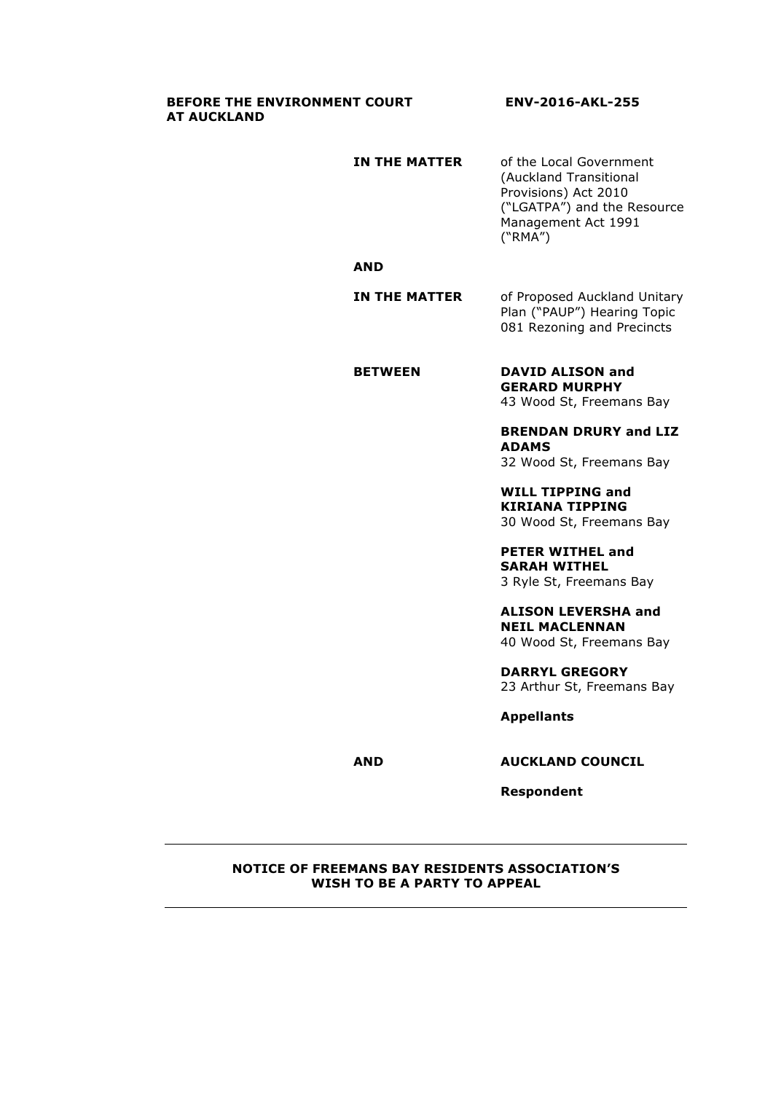#### **BEFORE THE ENVIRONMENT COURT ENV-2016-AKL-255 AT AUCKLAND**

| IN THE MATTER | of the Local Government     |
|---------------|-----------------------------|
|               | (Auckland Transitional      |
|               | Provisions) Act 2010        |
|               | ("LGATPA") and the Resource |
|               | Management Act 1991         |
|               | ("RMA")                     |

### **AND**

**IN THE MATTER** of Proposed Auckland Unitary Plan ("PAUP") Hearing Topic 081 Rezoning and Precincts

## **BETWEEN DAVID ALISON and**

**GERARD MURPHY** 43 Wood St, Freemans Bay

**BRENDAN DRURY and LIZ ADAMS** 32 Wood St, Freemans Bay

**WILL TIPPING and KIRIANA TIPPING** 30 Wood St, Freemans Bay

**PETER WITHEL and SARAH WITHEL** 3 Ryle St, Freemans Bay

**ALISON LEVERSHA and NEIL MACLENNAN** 40 Wood St, Freemans Bay

**DARRYL GREGORY** 23 Arthur St, Freemans Bay

**Appellants**

**AND AUCKLAND COUNCIL**

**Respondent**

#### **NOTICE OF FREEMANS BAY RESIDENTS ASSOCIATION'S WISH TO BE A PARTY TO APPEAL**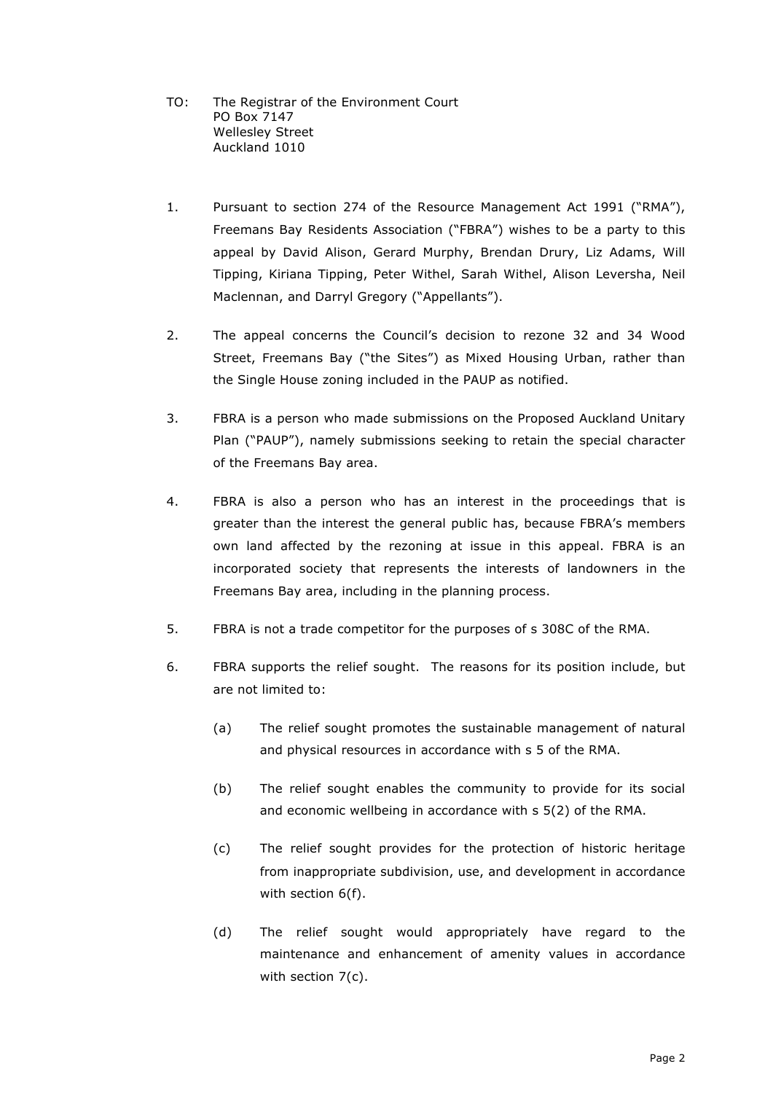TO: The Registrar of the Environment Court PO Box 7147 Wellesley Street Auckland 1010

- 1. Pursuant to section 274 of the Resource Management Act 1991 ("RMA"), Freemans Bay Residents Association ("FBRA") wishes to be a party to this appeal by David Alison, Gerard Murphy, Brendan Drury, Liz Adams, Will Tipping, Kiriana Tipping, Peter Withel, Sarah Withel, Alison Leversha, Neil Maclennan, and Darryl Gregory ("Appellants").
- 2. The appeal concerns the Council's decision to rezone 32 and 34 Wood Street, Freemans Bay ("the Sites") as Mixed Housing Urban, rather than the Single House zoning included in the PAUP as notified.
- 3. FBRA is a person who made submissions on the Proposed Auckland Unitary Plan ("PAUP"), namely submissions seeking to retain the special character of the Freemans Bay area.
- 4. FBRA is also a person who has an interest in the proceedings that is greater than the interest the general public has, because FBRA's members own land affected by the rezoning at issue in this appeal. FBRA is an incorporated society that represents the interests of landowners in the Freemans Bay area, including in the planning process.
- 5. FBRA is not a trade competitor for the purposes of s 308C of the RMA.
- 6. FBRA supports the relief sought. The reasons for its position include, but are not limited to:
	- (a) The relief sought promotes the sustainable management of natural and physical resources in accordance with s 5 of the RMA.
	- (b) The relief sought enables the community to provide for its social and economic wellbeing in accordance with s 5(2) of the RMA.
	- (c) The relief sought provides for the protection of historic heritage from inappropriate subdivision, use, and development in accordance with section 6(f).
	- (d) The relief sought would appropriately have regard to the maintenance and enhancement of amenity values in accordance with section 7(c).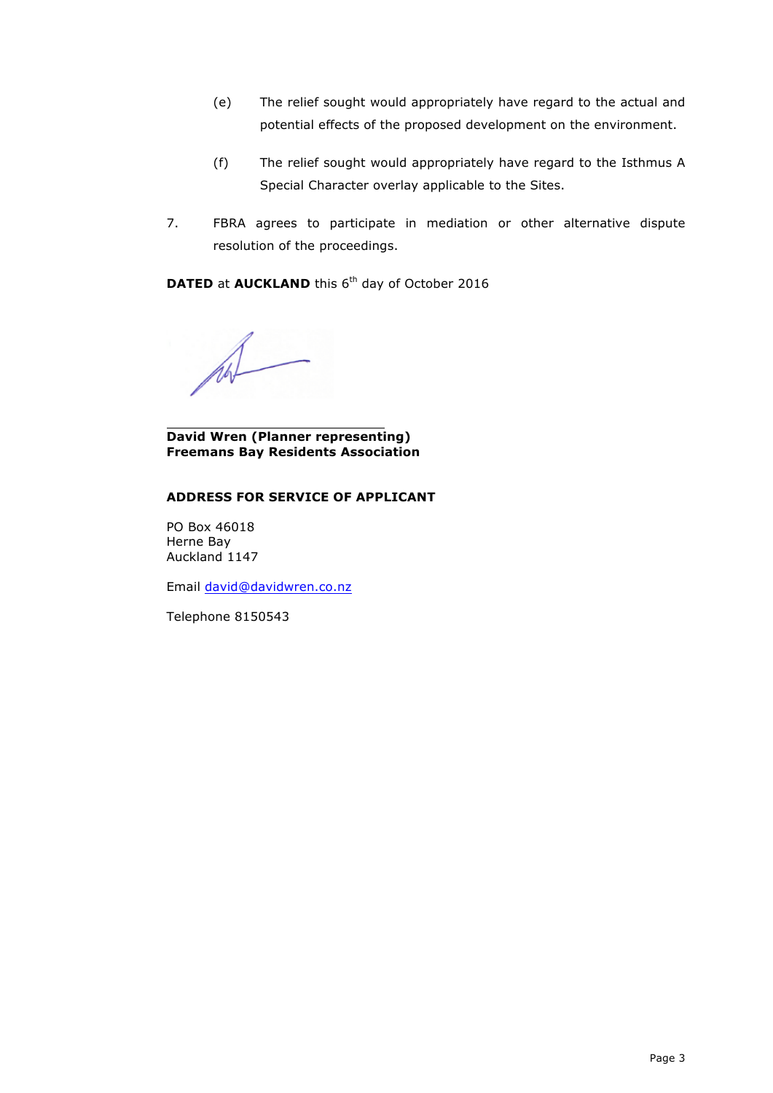- (e) The relief sought would appropriately have regard to the actual and potential effects of the proposed development on the environment.
- (f) The relief sought would appropriately have regard to the Isthmus A Special Character overlay applicable to the Sites.
- 7. FBRA agrees to participate in mediation or other alternative dispute resolution of the proceedings.

**DATED** at **AUCKLAND** this 6<sup>th</sup> day of October 2016

**David Wren (Planner representing) Freemans Bay Residents Association**

#### **ADDRESS FOR SERVICE OF APPLICANT**

PO Box 46018 Herne Bay Auckland 1147

Email david@davidwren.co.nz

Telephone 8150543